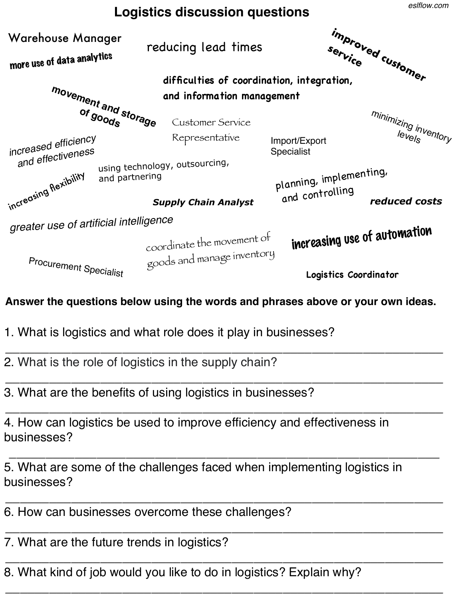## **Logistics discussion questions**

planning, implementing, and controlling **movement and storage of goods**  coordinate the movement of goods and manage inventory **improved customer service**  *increased efficiency and effectiveness reduced costs*  reducing lead times <sup>mininizing inventory</sub><br><sup>levels</sub></sup></sup> increasing flexibility **difficulties of coordination, integration, and information management**  using technology, outsourcing, and partnering increasing use of automation more use of data analytics *greater use of artificial intelligence*  Customer Service Representative Import/Export Specialist *Supply Chain Analyst*  Procurement Specialist Warehouse Manager

**Answer the questions below using the words and phrases above or your own ideas.**

*\_\_\_\_\_\_\_\_\_\_\_\_\_\_\_\_\_\_\_\_\_\_\_\_\_\_\_\_\_\_\_\_\_\_\_\_\_\_\_\_\_\_\_\_\_\_\_\_\_\_\_\_\_\_\_\_\_\_\_\_*

*\_\_\_\_\_\_\_\_\_\_\_\_\_\_\_\_\_\_\_\_\_\_\_\_\_\_\_\_\_\_\_\_\_\_\_\_\_\_\_\_\_\_\_\_\_\_\_\_\_\_\_\_\_\_\_\_\_\_\_\_*

*\_\_\_\_\_\_\_\_\_\_\_\_\_\_\_\_\_\_\_\_\_\_\_\_\_\_\_\_\_\_\_\_\_\_\_\_\_\_\_\_\_\_\_\_\_\_\_\_\_\_\_\_\_\_\_\_\_\_\_\_*

*\_\_\_\_\_\_\_\_\_\_\_\_\_\_\_\_\_\_\_\_\_\_\_\_\_\_\_\_\_\_\_\_\_\_\_\_\_\_\_\_\_\_\_\_\_\_\_\_\_\_\_\_\_\_\_\_\_\_\_\_*

- 1. What is logistics and what role does it play in businesses?
- 2. What is the role of logistics in the supply chain?
- 3. What are the benefits of using logistics in businesses?

*\_\_\_\_\_\_\_\_\_\_\_\_\_\_\_\_\_\_\_\_\_\_\_\_\_\_\_\_\_\_\_\_\_\_\_\_\_\_\_\_\_\_\_\_\_\_\_\_\_\_\_\_\_\_\_\_\_\_\_\_* 4. How can logistics be used to improve efficiency and effectiveness in businesses?

*\_\_\_\_\_\_\_\_\_\_\_\_\_\_\_\_\_\_\_\_\_\_\_\_\_\_\_\_\_\_\_\_\_\_\_\_\_\_\_\_\_\_\_\_\_\_\_\_\_\_\_\_\_\_\_\_\_\_\_* 5. What are some of the challenges faced when implementing logistics in businesses?

- 6. How can businesses overcome these challenges?
- *\_\_\_\_\_\_\_\_\_\_\_\_\_\_\_\_\_\_\_\_\_\_\_\_\_\_\_\_\_\_\_\_\_\_\_\_\_\_\_\_\_\_\_\_\_\_\_\_\_\_\_\_\_\_\_\_\_\_\_\_* 7. What are the future trends in logistics?
- *\_\_\_\_\_\_\_\_\_\_\_\_\_\_\_\_\_\_\_\_\_\_\_\_\_\_\_\_\_\_\_\_\_\_\_\_\_\_\_\_\_\_\_\_\_\_\_\_\_\_\_\_\_\_\_\_\_\_\_\_* 8. What kind of job would you like to do in logistics? Explain why?

**Logistics Coordinator**